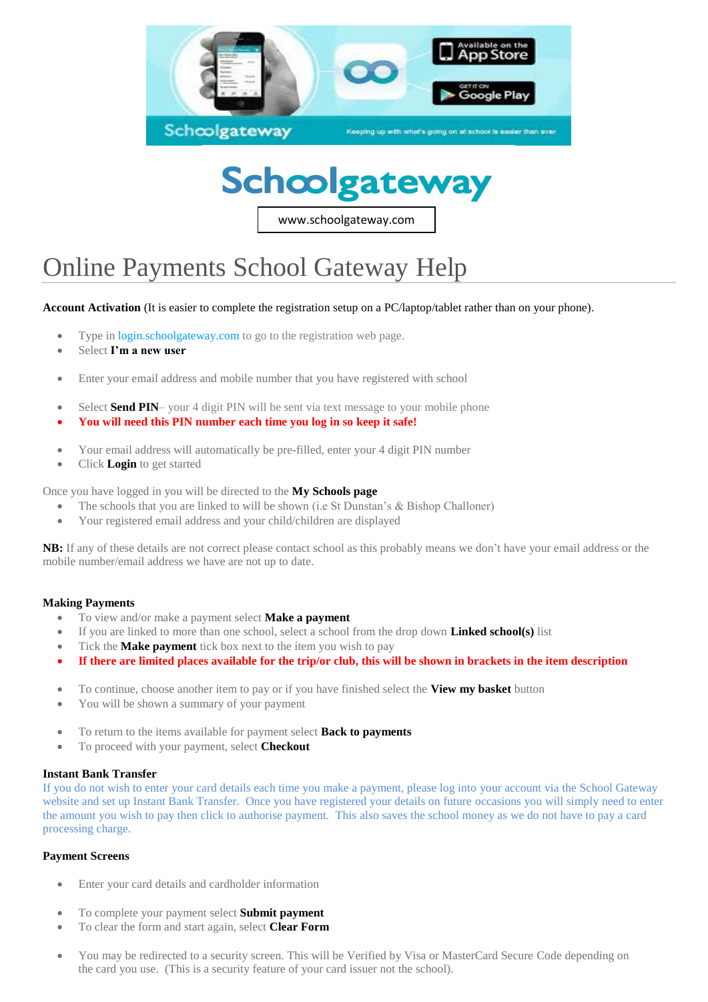



www.schoolgateway.com

# Online Payments School Gateway Help

**Account Activation** (It is easier to complete the registration setup on a PC/laptop/tablet rather than on your phone).

- Type in [login.schoolgateway.com](https://login.schoolgateway.com/0/auth/login.aspx) to go to the registration web page.
- Select **I'm a new user**
- Enter your email address and mobile number that you have registered with school
- Select **Send PIN** your 4 digit PIN will be sent via text message to your mobile phone
- **You will need this PIN number each time you log in so keep it safe!**
- Your email address will automatically be pre-filled, enter your 4 digit PIN number
- Click **Login** to get started

Once you have logged in you will be directed to the **My Schools page**

- The schools that you are linked to will be shown (i.e St Dunstan's & Bishop Challoner)
- Your registered email address and your child/children are displayed

**NB:** If any of these details are not correct please contact school as this probably means we don't have your email address or the mobile number/email address we have are not up to date.

#### **Making Payments**

- To view and/or make a payment select **Make a payment**
- If you are linked to more than one school, select a school from the drop down **Linked school(s)** list
- Tick the **Make payment** tick box next to the item you wish to pay
- **If there are limited places available for the trip/or club, this will be shown in brackets in the item description**
- To continue, choose another item to pay or if you have finished select the **View my basket** button
- You will be shown a summary of your payment
- To return to the items available for payment select **Back to payments**
- To proceed with your payment, select **Checkout**

#### **Instant Bank Transfer**

If you do not wish to enter your card details each time you make a payment, please log into your account via the School Gateway website and set up Instant Bank Transfer. Once you have registered your details on future occasions you will simply need to enter the amount you wish to pay then click to authorise payment. This also saves the school money as we do not have to pay a card processing charge.

#### **Payment Screens**

- Enter your card details and cardholder information
- To complete your payment select **Submit payment**
- To clear the form and start again, select **Clear Form**
- You may be redirected to a security screen. This will be Verified by Visa or MasterCard Secure Code depending on the card you use. (This is a security feature of your card issuer not the school).